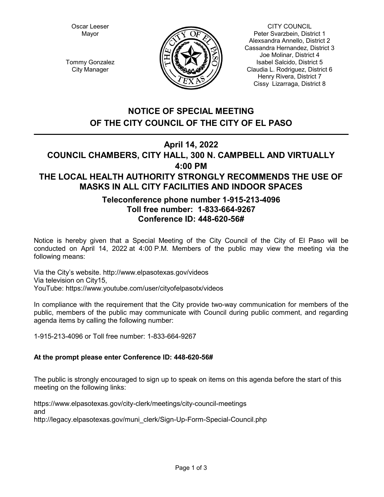Oscar Leeser Mayor



CITY COUNCIL Peter Svarzbein, District 1 Alexsandra Annello, District 2 Cassandra Hernandez, District 3 Joe Molinar, District 4 Isabel Salcido, District 5 Claudia L. Rodriguez, District 6 Henry Rivera, District 7 Cissy Lizarraga, District 8

Tommy Gonzalez City Manager

# **NOTICE OF SPECIAL MEETING OF THE CITY COUNCIL OF THE CITY OF EL PASO**

## **April 14, 2022**

## **COUNCIL CHAMBERS, CITY HALL, 300 N. CAMPBELL AND VIRTUALLY 4:00 PM THE LOCAL HEALTH AUTHORITY STRONGLY RECOMMENDS THE USE OF MASKS IN ALL CITY FACILITIES AND INDOOR SPACES**

## **Teleconference phone number 1-915-213-4096 Toll free number: 1-833-664-9267 Conference ID: 448-620-56#**

Notice is hereby given that a Special Meeting of the City Council of the City of El Paso will be conducted on April 14, 2022 at 4:00 P.M. Members of the public may view the meeting via the following means:

Via the City's website. http://www.elpasotexas.gov/videos Via television on City15, YouTube: https://www.youtube.com/user/cityofelpasotx/videos

In compliance with the requirement that the City provide two-way communication for members of the public, members of the public may communicate with Council during public comment, and regarding agenda items by calling the following number:

1-915-213-4096 or Toll free number: 1-833-664-9267

### **At the prompt please enter Conference ID: 448-620-56#**

The public is strongly encouraged to sign up to speak on items on this agenda before the start of this meeting on the following links:

https://www.elpasotexas.gov/city-clerk/meetings/city-council-meetings and http://legacy.elpasotexas.gov/muni\_clerk/Sign-Up-Form-Special-Council.php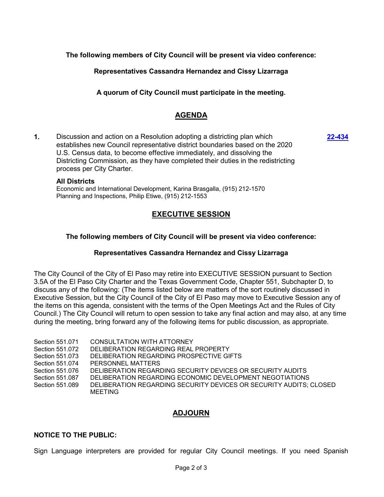**The following members of City Council will be present via video conference:**

**Representatives Cassandra Hernandez and Cissy Lizarraga**

**A quorum of City Council must participate in the meeting.**

## **AGENDA**

**1.** Discussion and action on a Resolution adopting a districting plan which establishes new Council representative district boundaries based on the 2020 U.S. Census data, to become effective immediately, and dissolving the Districting Commission, as they have completed their duties in the redistricting process per City Charter.

# **All Districts**

Economic and International Development, Karina Brasgalla, (915) 212-1570 Planning and Inspections, Philip Etiwe, (915) 212-1553

## **EXECUTIVE SESSION**

### **The following members of City Council will be present via video conference:**

### **Representatives Cassandra Hernandez and Cissy Lizarraga**

The City Council of the City of El Paso may retire into EXECUTIVE SESSION pursuant to Section 3.5A of the El Paso City Charter and the Texas Government Code, Chapter 551, Subchapter D, to discuss any of the following: (The items listed below are matters of the sort routinely discussed in Executive Session, but the City Council of the City of El Paso may move to Executive Session any of the items on this agenda, consistent with the terms of the Open Meetings Act and the Rules of City Council.) The City Council will return to open session to take any final action and may also, at any time during the meeting, bring forward any of the following items for public discussion, as appropriate.

Section 551.071 CONSULTATION WITH ATTORNEY Section 551.072 DELIBERATION REGARDING REAL PROPERTY Section 551.073 DELIBERATION REGARDING PROSPECTIVE GIFTS Section 551.074 PERSONNEL MATTERS Section 551.076 DELIBERATION REGARDING SECURITY DEVICES OR SECURITY AUDITS Section 551.087 DELIBERATION REGARDING ECONOMIC DEVELOPMENT NEGOTIATIONS Section 551.089 DELIBERATION REGARDING SECURITY DEVICES OR SECURITY AUDITS; CLOSED MEETING

## **ADJOURN**

### **NOTICE TO THE PUBLIC:**

Sign Language interpreters are provided for regular City Council meetings. If you need Spanish

**[22-434](http://elpasotexas.legistar.com/gateway.aspx?m=l&id=/matter.aspx?key=6898)**